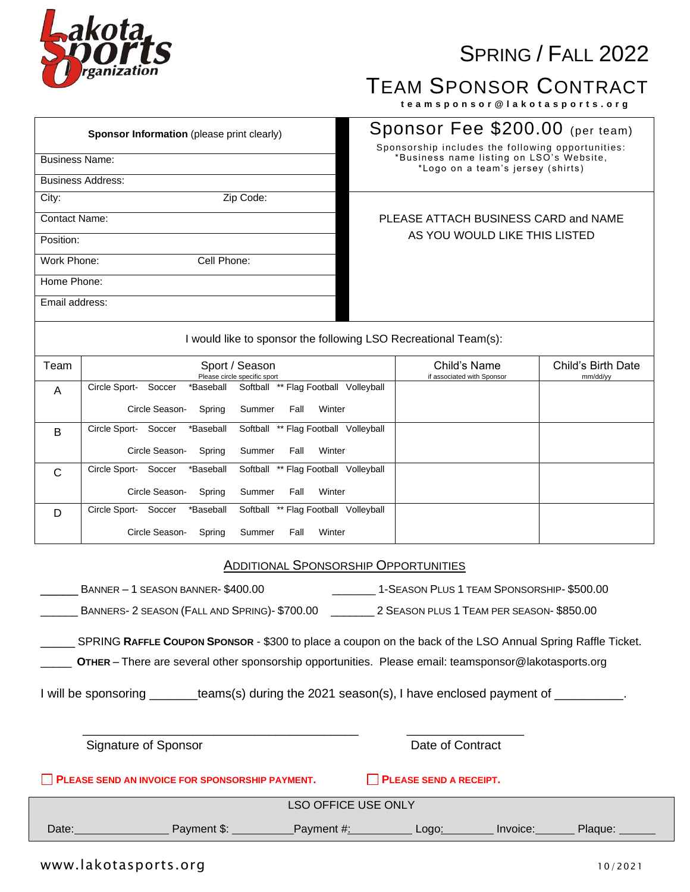# **ofa** zanization

## SPRING / FALL 2022

### TEAM SPONSOR CONTRACT

 **t e a m s p o n s o r @ l a k o t a s p o r t s . o r g**

| <b>Sponsor Information</b> (please print clearly)             | Sponsor Fee \$200.00 (per team)<br>Sponsorship includes the following opportunities: |  |  |
|---------------------------------------------------------------|--------------------------------------------------------------------------------------|--|--|
| <b>Business Name:</b>                                         | *Business name listing on LSO's Website,<br>*Logo on a team's jersey (shirts)        |  |  |
| <b>Business Address:</b>                                      |                                                                                      |  |  |
| City:<br>Zip Code:                                            |                                                                                      |  |  |
| <b>Contact Name:</b>                                          | PLEASE ATTACH BUSINESS CARD and NAME                                                 |  |  |
| Position:                                                     | AS YOU WOULD LIKE THIS LISTED                                                        |  |  |
| Work Phone:<br>Cell Phone:                                    |                                                                                      |  |  |
| Home Phone:                                                   |                                                                                      |  |  |
| Email address:                                                |                                                                                      |  |  |
| would like to sponsor the following LSO Recreational Team(s): |                                                                                      |  |  |

| Team         | Sport / Season<br>Please circle specific sport                                     | Child's Name<br>if associated with Sponsor | Child's Birth Date<br>mm/dd/yy |
|--------------|------------------------------------------------------------------------------------|--------------------------------------------|--------------------------------|
| A            | Circle Sport-<br>Softball ** Flag Football<br>Volleyball<br>Soccer<br>*Baseball    |                                            |                                |
|              | Circle Season-<br>Spring<br>Summer<br>Fall<br>Winter                               |                                            |                                |
| B            | Circle Sport-<br>Softball ** Flag Football<br>Soccer<br>*Baseball<br>Volleyball    |                                            |                                |
|              | Circle Season-<br>Summer<br>Winter<br>Spring<br>Fall                               |                                            |                                |
| $\mathsf{C}$ | Circle Sport-<br>** Flag Football<br>Soccer<br>*Baseball<br>Softball<br>Volleyball |                                            |                                |
|              | Circle Season-<br>Spring<br>Summer<br>Winter<br>Fall                               |                                            |                                |
| D            | Circle Sport-<br>Softball<br>** Flag Football<br>Soccer<br>*Baseball<br>Volleyball |                                            |                                |
|              | Circle Season-<br>Winter<br>Spring<br>Summer<br>Fall                               |                                            |                                |

#### ADDITIONAL SPONSORSHIP OPPORTUNITIES

|                                                                                                                                                                                                                     | BANNER - 1 SEASON BANNER- \$400.00                                                                   |  | 1-SEASON PLUS 1 TEAM SPONSORSHIP- \$500.00 |         |
|---------------------------------------------------------------------------------------------------------------------------------------------------------------------------------------------------------------------|------------------------------------------------------------------------------------------------------|--|--------------------------------------------|---------|
|                                                                                                                                                                                                                     |                                                                                                      |  |                                            |         |
| SPRING RAFFLE COUPON SPONSOR - \$300 to place a coupon on the back of the LSO Annual Spring Raffle Ticket.<br>OTHER - There are several other sponsorship opportunities. Please email: teamsponsor@lakotasports.org |                                                                                                      |  |                                            |         |
|                                                                                                                                                                                                                     | I will be sponsoring _______teams(s) during the 2021 season(s), I have enclosed payment of _________ |  |                                            |         |
|                                                                                                                                                                                                                     |                                                                                                      |  |                                            |         |
|                                                                                                                                                                                                                     | Signature of Sponsor                                                                                 |  | Date of Contract                           |         |
| PLEASE SEND AN INVOICE FOR SPONSORSHIP PAYMENT.<br><b>PLEASE SEND A RECEIPT.</b>                                                                                                                                    |                                                                                                      |  |                                            |         |
| <b>LSO OFFICE USE ONLY</b>                                                                                                                                                                                          |                                                                                                      |  |                                            |         |
|                                                                                                                                                                                                                     | Date: Payment \$: Payment #: Logo: Invoice:                                                          |  |                                            | Plaque: |
|                                                                                                                                                                                                                     |                                                                                                      |  |                                            |         |

### www.lakotasports.org 10/2021